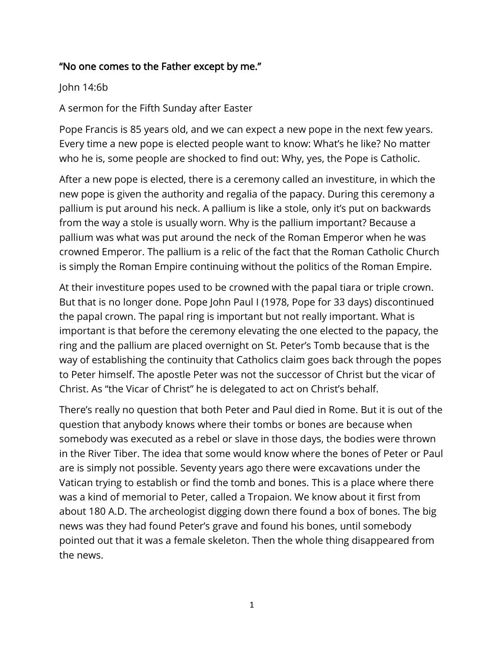## "No one comes to the Father except by me."

## John 14:6b

A sermon for the Fifth Sunday after Easter

Pope Francis is 85 years old, and we can expect a new pope in the next few years. Every time a new pope is elected people want to know: What's he like? No matter who he is, some people are shocked to find out: Why, yes, the Pope is Catholic.

After a new pope is elected, there is a ceremony called an investiture, in which the new pope is given the authority and regalia of the papacy. During this ceremony a pallium is put around his neck. A pallium is like a stole, only it's put on backwards from the way a stole is usually worn. Why is the pallium important? Because a pallium was what was put around the neck of the Roman Emperor when he was crowned Emperor. The pallium is a relic of the fact that the Roman Catholic Church is simply the Roman Empire continuing without the politics of the Roman Empire.

At their investiture popes used to be crowned with the papal tiara or triple crown. But that is no longer done. Pope John Paul I (1978, Pope for 33 days) discontinued the papal crown. The papal ring is important but not really important. What is important is that before the ceremony elevating the one elected to the papacy, the ring and the pallium are placed overnight on St. Peter's Tomb because that is the way of establishing the continuity that Catholics claim goes back through the popes to Peter himself. The apostle Peter was not the successor of Christ but the vicar of Christ. As "the Vicar of Christ" he is delegated to act on Christ's behalf.

There's really no question that both Peter and Paul died in Rome. But it is out of the question that anybody knows where their tombs or bones are because when somebody was executed as a rebel or slave in those days, the bodies were thrown in the River Tiber. The idea that some would know where the bones of Peter or Paul are is simply not possible. Seventy years ago there were excavations under the Vatican trying to establish or find the tomb and bones. This is a place where there was a kind of memorial to Peter, called a Tropaion. We know about it first from about 180 A.D. The archeologist digging down there found a box of bones. The big news was they had found Peter's grave and found his bones, until somebody pointed out that it was a female skeleton. Then the whole thing disappeared from the news.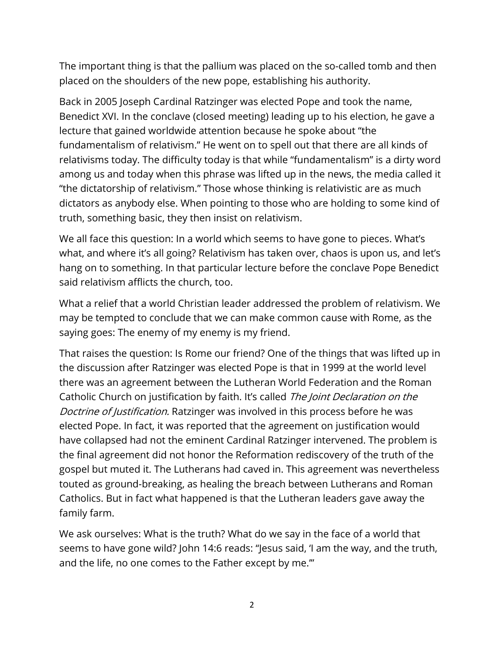The important thing is that the pallium was placed on the so-called tomb and then placed on the shoulders of the new pope, establishing his authority.

Back in 2005 Joseph Cardinal Ratzinger was elected Pope and took the name, Benedict XVI. In the conclave (closed meeting) leading up to his election, he gave a lecture that gained worldwide attention because he spoke about "the fundamentalism of relativism." He went on to spell out that there are all kinds of relativisms today. The difficulty today is that while "fundamentalism" is a dirty word among us and today when this phrase was lifted up in the news, the media called it "the dictatorship of relativism." Those whose thinking is relativistic are as much dictators as anybody else. When pointing to those who are holding to some kind of truth, something basic, they then insist on relativism.

We all face this question: In a world which seems to have gone to pieces. What's what, and where it's all going? Relativism has taken over, chaos is upon us, and let's hang on to something. In that particular lecture before the conclave Pope Benedict said relativism afflicts the church, too.

What a relief that a world Christian leader addressed the problem of relativism. We may be tempted to conclude that we can make common cause with Rome, as the saying goes: The enemy of my enemy is my friend.

That raises the question: Is Rome our friend? One of the things that was lifted up in the discussion after Ratzinger was elected Pope is that in 1999 at the world level there was an agreement between the Lutheran World Federation and the Roman Catholic Church on justification by faith. It's called The Joint Declaration on the Doctrine of Justification. Ratzinger was involved in this process before he was elected Pope. In fact, it was reported that the agreement on justification would have collapsed had not the eminent Cardinal Ratzinger intervened. The problem is the final agreement did not honor the Reformation rediscovery of the truth of the gospel but muted it. The Lutherans had caved in. This agreement was nevertheless touted as ground-breaking, as healing the breach between Lutherans and Roman Catholics. But in fact what happened is that the Lutheran leaders gave away the family farm.

We ask ourselves: What is the truth? What do we say in the face of a world that seems to have gone wild? John 14:6 reads: "Jesus said, 'I am the way, and the truth, and the life, no one comes to the Father except by me.'"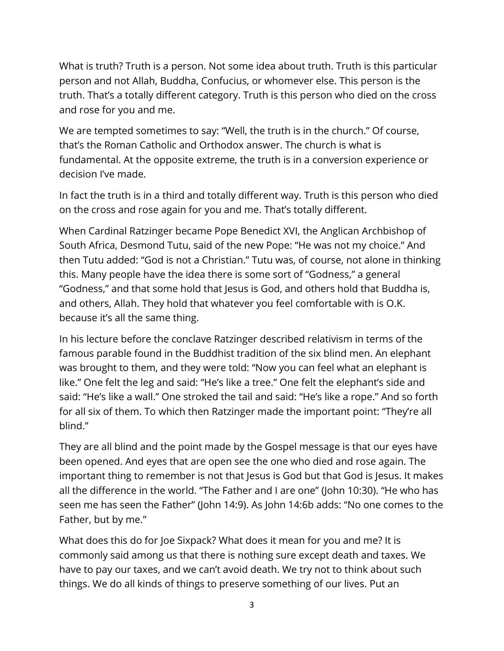What is truth? Truth is a person. Not some idea about truth. Truth is this particular person and not Allah, Buddha, Confucius, or whomever else. This person is the truth. That's a totally different category. Truth is this person who died on the cross and rose for you and me.

We are tempted sometimes to say: "Well, the truth is in the church." Of course, that's the Roman Catholic and Orthodox answer. The church is what is fundamental. At the opposite extreme, the truth is in a conversion experience or decision I've made.

In fact the truth is in a third and totally different way. Truth is this person who died on the cross and rose again for you and me. That's totally different.

When Cardinal Ratzinger became Pope Benedict XVI, the Anglican Archbishop of South Africa, Desmond Tutu, said of the new Pope: "He was not my choice." And then Tutu added: "God is not a Christian." Tutu was, of course, not alone in thinking this. Many people have the idea there is some sort of "Godness," a general "Godness," and that some hold that Jesus is God, and others hold that Buddha is, and others, Allah. They hold that whatever you feel comfortable with is O.K. because it's all the same thing.

In his lecture before the conclave Ratzinger described relativism in terms of the famous parable found in the Buddhist tradition of the six blind men. An elephant was brought to them, and they were told: "Now you can feel what an elephant is like." One felt the leg and said: "He's like a tree." One felt the elephant's side and said: "He's like a wall." One stroked the tail and said: "He's like a rope." And so forth for all six of them. To which then Ratzinger made the important point: "They're all blind."

They are all blind and the point made by the Gospel message is that our eyes have been opened. And eyes that are open see the one who died and rose again. The important thing to remember is not that Jesus is God but that God is Jesus. It makes all the difference in the world. "The Father and I are one" (John 10:30). "He who has seen me has seen the Father" (John 14:9). As John 14:6b adds: "No one comes to the Father, but by me."

What does this do for Joe Sixpack? What does it mean for you and me? It is commonly said among us that there is nothing sure except death and taxes. We have to pay our taxes, and we can't avoid death. We try not to think about such things. We do all kinds of things to preserve something of our lives. Put an